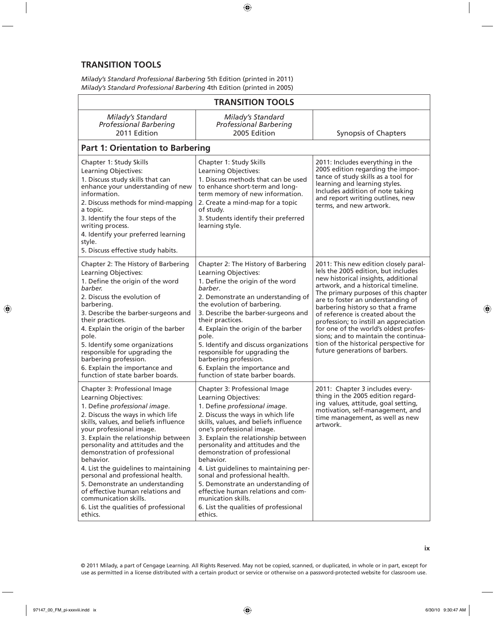## **TRANSITION TOOLS**

*Milady's Standard Professional Barbering* 5th Edition (printed in 2011) *Milady's Standard Professional Barbering* 4th Edition (printed in 2005)

| <b>TRANSITION TOOLS</b>                                                                                                                                                                                                                                                                                                                                                                                                                                                                                                                                      |                                                                                                                                                                                                                                                                                                                                                                                                                                                                                                                                                               |                                                                                                                                                                                                                                                                                                                                                                                                                                                                                                                          |  |
|--------------------------------------------------------------------------------------------------------------------------------------------------------------------------------------------------------------------------------------------------------------------------------------------------------------------------------------------------------------------------------------------------------------------------------------------------------------------------------------------------------------------------------------------------------------|---------------------------------------------------------------------------------------------------------------------------------------------------------------------------------------------------------------------------------------------------------------------------------------------------------------------------------------------------------------------------------------------------------------------------------------------------------------------------------------------------------------------------------------------------------------|--------------------------------------------------------------------------------------------------------------------------------------------------------------------------------------------------------------------------------------------------------------------------------------------------------------------------------------------------------------------------------------------------------------------------------------------------------------------------------------------------------------------------|--|
| Milady's Standard<br><b>Professional Barbering</b><br>2011 Edition                                                                                                                                                                                                                                                                                                                                                                                                                                                                                           | Milady's Standard<br><b>Professional Barbering</b><br>2005 Edition                                                                                                                                                                                                                                                                                                                                                                                                                                                                                            | Synopsis of Chapters                                                                                                                                                                                                                                                                                                                                                                                                                                                                                                     |  |
| <b>Part 1: Orientation to Barbering</b>                                                                                                                                                                                                                                                                                                                                                                                                                                                                                                                      |                                                                                                                                                                                                                                                                                                                                                                                                                                                                                                                                                               |                                                                                                                                                                                                                                                                                                                                                                                                                                                                                                                          |  |
| Chapter 1: Study Skills<br>Learning Objectives:<br>1. Discuss study skills that can<br>enhance your understanding of new<br>information.<br>2. Discuss methods for mind-mapping<br>a topic.<br>3. Identify the four steps of the<br>writing process.<br>4. Identify your preferred learning<br>style.<br>5. Discuss effective study habits.                                                                                                                                                                                                                  | Chapter 1: Study Skills<br>Learning Objectives:<br>1. Discuss methods that can be used<br>to enhance short-term and long-<br>term memory of new information.<br>2. Create a mind-map for a topic<br>of study.<br>3. Students identify their preferred<br>learning style.                                                                                                                                                                                                                                                                                      | 2011: Includes everything in the<br>2005 edition regarding the impor-<br>tance of study skills as a tool for<br>learning and learning styles.<br>Includes addition of note taking<br>and report writing outlines, new<br>terms, and new artwork.                                                                                                                                                                                                                                                                         |  |
| Chapter 2: The History of Barbering<br>Learning Objectives:<br>1. Define the origin of the word<br>barber.<br>2. Discuss the evolution of<br>barbering.<br>3. Describe the barber-surgeons and<br>their practices.<br>4. Explain the origin of the barber<br>pole.<br>5. Identify some organizations<br>responsible for upgrading the<br>barbering profession.<br>6. Explain the importance and<br>function of state barber boards.                                                                                                                          | Chapter 2: The History of Barbering<br>Learning Objectives:<br>1. Define the origin of the word<br>barber.<br>2. Demonstrate an understanding of<br>the evolution of barbering.<br>3. Describe the barber-surgeons and<br>their practices.<br>4. Explain the origin of the barber<br>pole.<br>5. Identify and discuss organizations<br>responsible for upgrading the<br>barbering profession.<br>6. Explain the importance and<br>function of state barber boards.                                                                                            | 2011: This new edition closely paral-<br>lels the 2005 edition, but includes<br>new historical insights, additional<br>artwork, and a historical timeline.<br>The primary purposes of this chapter<br>are to foster an understanding of<br>barbering history so that a frame<br>of reference is created about the<br>profession; to instill an appreciation<br>for one of the world's oldest profes-<br>sions; and to maintain the continua-<br>tion of the historical perspective for<br>future generations of barbers. |  |
| Chapter 3: Professional Image<br>Learning Objectives:<br>1. Define professional image.<br>2. Discuss the ways in which life<br>skills, values, and beliefs influence<br>your professional image.<br>3. Explain the relationship between<br>personality and attitudes and the<br>demonstration of professional<br>behavior.<br>4. List the guidelines to maintaining<br>personal and professional health.<br>5. Demonstrate an understanding<br>of effective human relations and<br>communication skills.<br>6. List the qualities of professional<br>ethics. | Chapter 3: Professional Image<br>Learning Objectives:<br>1. Define professional image.<br>2. Discuss the ways in which life<br>skills, values, and beliefs influence<br>one's professional image.<br>3. Explain the relationship between<br>personality and attitudes and the<br>demonstration of professional<br>behavior.<br>4. List guidelines to maintaining per-<br>sonal and professional health.<br>5. Demonstrate an understanding of<br>effective human relations and com-<br>munication skills.<br>6. List the qualities of professional<br>ethics. | 2011: Chapter 3 includes every-<br>thing in the 2005 edition regard-<br>ing values, attitude, goal setting,<br>motivation, self-management, and<br>time management, as well as new<br>artwork.                                                                                                                                                                                                                                                                                                                           |  |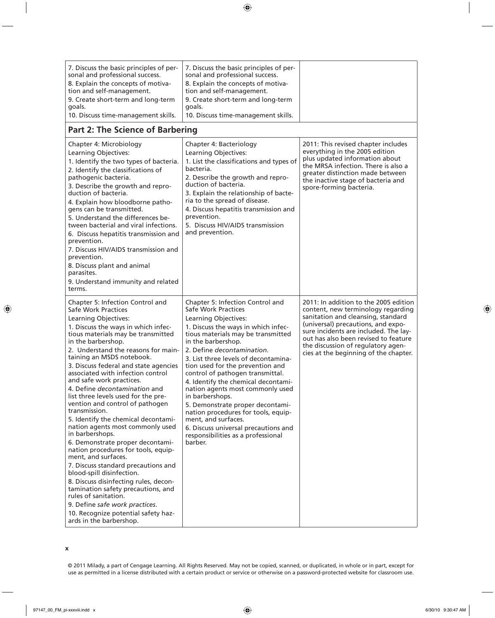| 7. Discuss the basic principles of per-<br>sonal and professional success.<br>8. Explain the concepts of motiva-<br>tion and self-management.<br>9. Create short-term and long-term<br>goals.<br>10. Discuss time-management skills.                                                                                                                                                                                                                                                                                                                                                                                                                                                                                                                                                                                                                                                                                                                                               | 7. Discuss the basic principles of per-<br>sonal and professional success.<br>8. Explain the concepts of motiva-<br>tion and self-management.<br>9. Create short-term and long-term<br>goals.<br>10. Discuss time-management skills.                                                                                                                                                                                                                                                                                                                                                                                      |                                                                                                                                                                                                                                                                                                                         |
|------------------------------------------------------------------------------------------------------------------------------------------------------------------------------------------------------------------------------------------------------------------------------------------------------------------------------------------------------------------------------------------------------------------------------------------------------------------------------------------------------------------------------------------------------------------------------------------------------------------------------------------------------------------------------------------------------------------------------------------------------------------------------------------------------------------------------------------------------------------------------------------------------------------------------------------------------------------------------------|---------------------------------------------------------------------------------------------------------------------------------------------------------------------------------------------------------------------------------------------------------------------------------------------------------------------------------------------------------------------------------------------------------------------------------------------------------------------------------------------------------------------------------------------------------------------------------------------------------------------------|-------------------------------------------------------------------------------------------------------------------------------------------------------------------------------------------------------------------------------------------------------------------------------------------------------------------------|
| <b>Part 2: The Science of Barbering</b>                                                                                                                                                                                                                                                                                                                                                                                                                                                                                                                                                                                                                                                                                                                                                                                                                                                                                                                                            |                                                                                                                                                                                                                                                                                                                                                                                                                                                                                                                                                                                                                           |                                                                                                                                                                                                                                                                                                                         |
| Chapter 4: Microbiology<br>Learning Objectives:<br>1. Identify the two types of bacteria.<br>2. Identify the classifications of<br>pathogenic bacteria.<br>3. Describe the growth and repro-<br>duction of bacteria.<br>4. Explain how bloodborne patho-<br>gens can be transmitted.<br>5. Understand the differences be-<br>tween bacterial and viral infections.<br>6. Discuss hepatitis transmission and<br>prevention.<br>7. Discuss HIV/AIDS transmission and<br>prevention.<br>8. Discuss plant and animal<br>parasites.<br>9. Understand immunity and related<br>terms.                                                                                                                                                                                                                                                                                                                                                                                                     | Chapter 4: Bacteriology<br>Learning Objectives:<br>1. List the classifications and types of<br>bacteria.<br>2. Describe the growth and repro-<br>duction of bacteria.<br>3. Explain the relationship of bacte-<br>ria to the spread of disease.<br>4. Discuss hepatitis transmission and<br>prevention.<br>5. Discuss HIV/AIDS transmission<br>and prevention.                                                                                                                                                                                                                                                            | 2011: This revised chapter includes<br>everything in the 2005 edition<br>plus updated information about<br>the MRSA infection. There is also a<br>greater distinction made between<br>the inactive stage of bacteria and<br>spore-forming bacteria.                                                                     |
| Chapter 5: Infection Control and<br><b>Safe Work Practices</b><br>Learning Objectives:<br>1. Discuss the ways in which infec-<br>tious materials may be transmitted<br>in the barbershop.<br>2. Understand the reasons for main-<br>taining an MSDS notebook.<br>3. Discuss federal and state agencies<br>associated with infection control<br>and safe work practices.<br>4. Define decontamination and<br>list three levels used for the pre-<br>vention and control of pathogen<br>transmission.<br>5. Identify the chemical decontami-<br>nation agents most commonly used<br>in barbershops.<br>6. Demonstrate proper decontami-<br>nation procedures for tools, equip-<br>ment, and surfaces.<br>7. Discuss standard precautions and<br>blood-spill disinfection.<br>8. Discuss disinfecting rules, decon-<br>tamination safety precautions, and<br>rules of sanitation.<br>9. Define safe work practices.<br>10. Recognize potential safety haz-<br>ards in the barbershop. | Chapter 5: Infection Control and<br>Safe Work Practices<br>Learning Objectives:<br>1. Discuss the ways in which infec-<br>tious materials may be transmitted<br>in the barbershop.<br>2. Define decontamination.<br>3. List three levels of decontamina-<br>tion used for the prevention and<br>control of pathogen transmittal.<br>4. Identify the chemical decontami-<br>nation agents most commonly used<br>in barbershops.<br>5. Demonstrate proper decontami-<br>nation procedures for tools, equip-<br>ment, and surfaces.<br>6. Discuss universal precautions and<br>responsibilities as a professional<br>barber. | 2011: In addition to the 2005 edition<br>content, new terminology regarding<br>sanitation and cleansing, standard<br>(universal) precautions, and expo-<br>sure incidents are included. The lay-<br>out has also been revised to feature<br>the discussion of regulatory agen-<br>cies at the beginning of the chapter. |

© 2011 Milady, a part of Cengage Learning. All Rights Reserved. May not be copied, scanned, or duplicated, in whole or in part, except for use as permitted in a license distributed with a certain product or service or otherwise on a password-protected website for classroom use.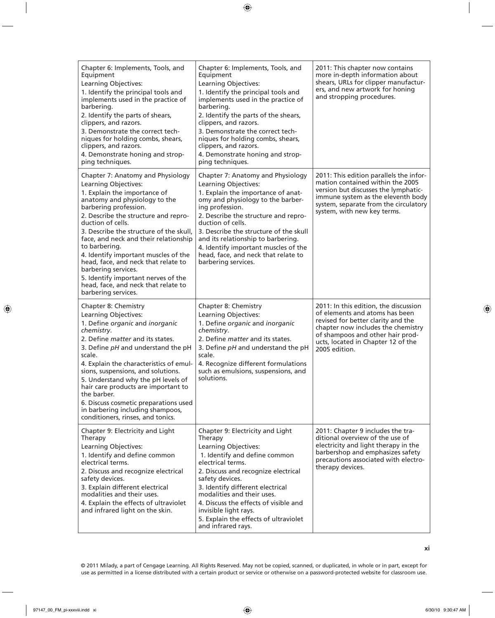| Chapter 6: Implements, Tools, and<br>Equipment<br>Learning Objectives:<br>1. Identify the principal tools and<br>implements used in the practice of<br>barbering.<br>2. Identify the parts of shears,<br>clippers, and razors.<br>3. Demonstrate the correct tech-<br>niques for holding combs, shears,<br>clippers, and razors.<br>4. Demonstrate honing and strop-<br>ping techniques.                                                                                                                                         | Chapter 6: Implements, Tools, and<br>Equipment<br>Learning Objectives:<br>1. Identify the principal tools and<br>implements used in the practice of<br>barbering.<br>2. Identify the parts of the shears,<br>clippers, and razors.<br>3. Demonstrate the correct tech-<br>niques for holding combs, shears,<br>clippers, and razors.<br>4. Demonstrate honing and strop-<br>ping techniques.               | 2011: This chapter now contains<br>more in-depth information about<br>shears, URLs for clipper manufactur-<br>ers, and new artwork for honing<br>and stropping procedures.                                                                     |
|----------------------------------------------------------------------------------------------------------------------------------------------------------------------------------------------------------------------------------------------------------------------------------------------------------------------------------------------------------------------------------------------------------------------------------------------------------------------------------------------------------------------------------|------------------------------------------------------------------------------------------------------------------------------------------------------------------------------------------------------------------------------------------------------------------------------------------------------------------------------------------------------------------------------------------------------------|------------------------------------------------------------------------------------------------------------------------------------------------------------------------------------------------------------------------------------------------|
| Chapter 7: Anatomy and Physiology<br>Learning Objectives:<br>1. Explain the importance of<br>anatomy and physiology to the<br>barbering profession.<br>2. Describe the structure and repro-<br>duction of cells.<br>3. Describe the structure of the skull,<br>face, and neck and their relationship<br>to barbering.<br>4. Identify important muscles of the<br>head, face, and neck that relate to<br>barbering services.<br>5. Identify important nerves of the<br>head, face, and neck that relate to<br>barbering services. | Chapter 7: Anatomy and Physiology<br>Learning Objectives:<br>1. Explain the importance of anat-<br>omy and physiology to the barber-<br>ing profession.<br>2. Describe the structure and repro-<br>duction of cells.<br>3. Describe the structure of the skull<br>and its relationship to barbering.<br>4. Identify important muscles of the<br>head, face, and neck that relate to<br>barbering services. | 2011: This edition parallels the infor-<br>mation contained within the 2005<br>version but discusses the lymphatic-<br>immune system as the eleventh body<br>system, separate from the circulatory<br>system, with new key terms.              |
| Chapter 8: Chemistry<br>Learning Objectives:<br>1. Define organic and inorganic<br>chemistry.<br>2. Define <i>matter</i> and its states.<br>3. Define pH and understand the pH<br>scale.<br>4. Explain the characteristics of emul-<br>sions, suspensions, and solutions.<br>5. Understand why the pH levels of<br>hair care products are important to<br>the barber.<br>6. Discuss cosmetic preparations used<br>in barbering including shampoos,<br>conditioners, rinses, and tonics.                                          | Chapter 8: Chemistry<br>Learning Objectives:<br>1. Define organic and inorganic<br>chemistry.<br>2. Define <i>matter</i> and its states.<br>3. Define pH and understand the pH<br>scale.<br>4. Recognize different formulations<br>such as emulsions, suspensions, and<br>solutions.                                                                                                                       | 2011: In this edition, the discussion<br>of elements and atoms has been<br>revised for better clarity and the<br>chapter now includes the chemistry<br>of shampoos and other hair prod-<br>ucts, located in Chapter 12 of the<br>2005 edition. |
| Chapter 9: Electricity and Light<br>Therapy<br>Learning Objectives:<br>1. Identify and define common<br>electrical terms.<br>2. Discuss and recognize electrical<br>safety devices.<br>3. Explain different electrical<br>modalities and their uses.<br>4. Explain the effects of ultraviolet<br>and infrared light on the skin.                                                                                                                                                                                                 | Chapter 9: Electricity and Light<br>Therapy<br>Learning Objectives:<br>1. Identify and define common<br>electrical terms.<br>2. Discuss and recognize electrical<br>safety devices.<br>3. Identify different electrical<br>modalities and their uses.<br>4. Discuss the effects of visible and<br>invisible light rays.<br>5. Explain the effects of ultraviolet<br>and infrared rays.                     | 2011: Chapter 9 includes the tra-<br>ditional overview of the use of<br>electricity and light therapy in the<br>barbershop and emphasizes safety<br>precautions associated with electro-<br>therapy devices.                                   |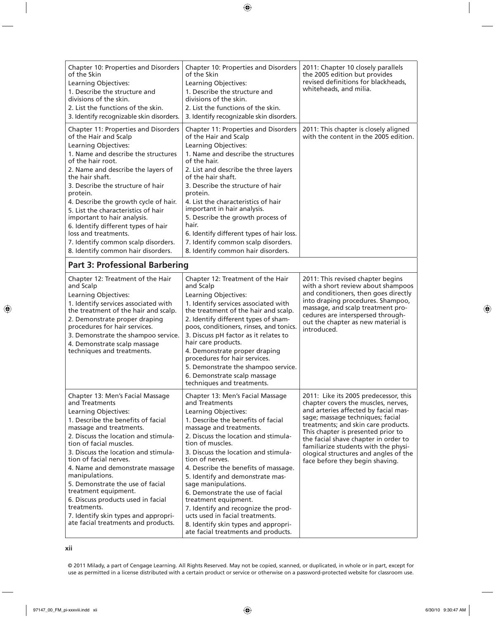| Chapter 10: Properties and Disorders<br>of the Skin<br>Learning Objectives:<br>1. Describe the structure and<br>divisions of the skin.<br>2. List the functions of the skin.<br>3. Identify recognizable skin disorders.                                                                                                                                                                                                                                                                                                              | Chapter 10: Properties and Disorders<br>of the Skin<br>Learning Objectives:<br>1. Describe the structure and<br>divisions of the skin.<br>2. List the functions of the skin.<br>3. Identify recognizable skin disorders.                                                                                                                                                                                                                                                                                                                                                                   | 2011: Chapter 10 closely parallels<br>the 2005 edition but provides<br>revised definitions for blackheads,<br>whiteheads, and milia.                                                                                                                                                                                                                                                              |
|---------------------------------------------------------------------------------------------------------------------------------------------------------------------------------------------------------------------------------------------------------------------------------------------------------------------------------------------------------------------------------------------------------------------------------------------------------------------------------------------------------------------------------------|--------------------------------------------------------------------------------------------------------------------------------------------------------------------------------------------------------------------------------------------------------------------------------------------------------------------------------------------------------------------------------------------------------------------------------------------------------------------------------------------------------------------------------------------------------------------------------------------|---------------------------------------------------------------------------------------------------------------------------------------------------------------------------------------------------------------------------------------------------------------------------------------------------------------------------------------------------------------------------------------------------|
| Chapter 11: Properties and Disorders<br>of the Hair and Scalp<br>Learning Objectives:<br>1. Name and describe the structures<br>of the hair root.<br>2. Name and describe the layers of<br>the hair shaft.<br>3. Describe the structure of hair<br>protein.<br>4. Describe the growth cycle of hair.<br>5. List the characteristics of hair<br>important to hair analysis.<br>6. Identify different types of hair<br>loss and treatments.<br>7. Identify common scalp disorders.<br>8. Identify common hair disorders.                | Chapter 11: Properties and Disorders<br>of the Hair and Scalp<br>Learning Objectives:<br>1. Name and describe the structures<br>of the hair.<br>2. List and describe the three layers<br>of the hair shaft.<br>3. Describe the structure of hair<br>protein.<br>4. List the characteristics of hair<br>important in hair analysis.<br>5. Describe the growth process of<br>hair.<br>6. Identify different types of hair loss.<br>7. Identify common scalp disorders.<br>8. Identify common hair disorders.                                                                                 | 2011: This chapter is closely aligned<br>with the content in the 2005 edition.                                                                                                                                                                                                                                                                                                                    |
| <b>Part 3: Professional Barbering</b>                                                                                                                                                                                                                                                                                                                                                                                                                                                                                                 |                                                                                                                                                                                                                                                                                                                                                                                                                                                                                                                                                                                            |                                                                                                                                                                                                                                                                                                                                                                                                   |
| Chapter 12: Treatment of the Hair<br>and Scalp<br>Learning Objectives:<br>1. Identify services associated with<br>the treatment of the hair and scalp.<br>2. Demonstrate proper draping<br>procedures for hair services.<br>3. Demonstrate the shampoo service.<br>4. Demonstrate scalp massage<br>techniques and treatments.                                                                                                                                                                                                         | Chapter 12: Treatment of the Hair<br>and Scalp<br>Learning Objectives:<br>1. Identify services associated with<br>the treatment of the hair and scalp.<br>2. Identify different types of sham-<br>poos, conditioners, rinses, and tonics.<br>3. Discuss pH factor as it relates to<br>hair care products.<br>4. Demonstrate proper draping<br>procedures for hair services.<br>5. Demonstrate the shampoo service.<br>6. Demonstrate scalp massage<br>techniques and treatments.                                                                                                           | 2011: This revised chapter begins<br>with a short review about shampoos<br>and conditioners, then goes directly<br>into draping procedures. Shampoo,<br>massage, and scalp treatment pro-<br>cedures are interspersed through-<br>out the chapter as new material is<br>introduced.                                                                                                               |
| Chapter 13: Men's Facial Massage<br>and Treatments<br>Learning Objectives:<br>1. Describe the benefits of facial<br>massage and treatments.<br>2. Discuss the location and stimula-<br>tion of facial muscles.<br>3. Discuss the location and stimula-<br>tion of facial nerves.<br>4. Name and demonstrate massage<br>manipulations.<br>5. Demonstrate the use of facial<br>treatment equipment.<br>6. Discuss products used in facial<br>treatments.<br>7. Identify skin types and appropri-<br>ate facial treatments and products. | Chapter 13: Men's Facial Massage<br>and Treatments<br>Learning Objectives:<br>1. Describe the benefits of facial<br>massage and treatments.<br>2. Discuss the location and stimula-<br>tion of muscles.<br>3. Discuss the location and stimula-<br>tion of nerves.<br>4. Describe the benefits of massage.<br>5. Identify and demonstrate mas-<br>sage manipulations.<br>6. Demonstrate the use of facial<br>treatment equipment.<br>7. Identify and recognize the prod-<br>ucts used in facial treatments.<br>8. Identify skin types and appropri-<br>ate facial treatments and products. | 2011: Like its 2005 predecessor, this<br>chapter covers the muscles, nerves,<br>and arteries affected by facial mas-<br>sage; massage techniques; facial<br>treatments; and skin care products.<br>This chapter is presented prior to<br>the facial shave chapter in order to<br>familiarize students with the physi-<br>ological structures and angles of the<br>face before they begin shaving. |

© 2011 Milady, a part of Cengage Learning. All Rights Reserved. May not be copied, scanned, or duplicated, in whole or in part, except for use as permitted in a license distributed with a certain product or service or otherwise on a password-protected website for classroom use.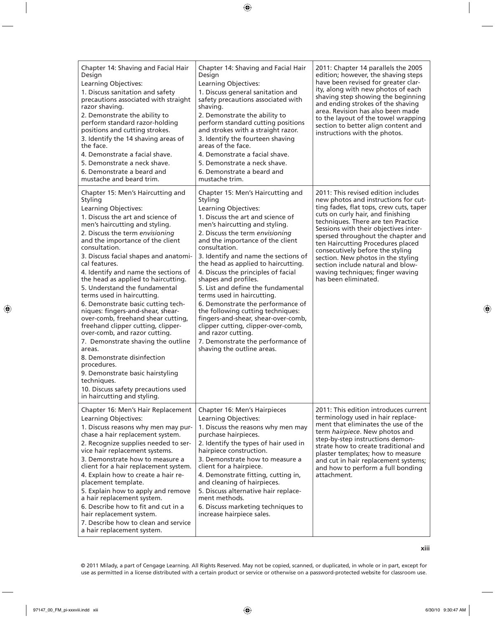| Chapter 14: Shaving and Facial Hair<br>Design<br>Learning Objectives:<br>1. Discuss sanitation and safety<br>precautions associated with straight<br>razor shaving.<br>2. Demonstrate the ability to<br>perform standard razor-holding<br>positions and cutting strokes.<br>3. Identify the 14 shaving areas of<br>the face.<br>4. Demonstrate a facial shave.<br>5. Demonstrate a neck shave.<br>6. Demonstrate a beard and<br>mustache and beard trim.                                                                                                                                                                                                                                                                                                                                                                                                   | Chapter 14: Shaving and Facial Hair<br>Design<br>Learning Objectives:<br>1. Discuss general sanitation and<br>safety precautions associated with<br>shaving.<br>2. Demonstrate the ability to<br>perform standard cutting positions<br>and strokes with a straight razor.<br>3. Identify the fourteen shaving<br>areas of the face.<br>4. Demonstrate a facial shave.<br>5. Demonstrate a neck shave.<br>6. Demonstrate a beard and<br>mustache trim.                                                                                                                                                                                                                                                  | 2011: Chapter 14 parallels the 2005<br>edition; however, the shaving steps<br>have been revised for greater clar-<br>ity, along with new photos of each<br>shaving step showing the beginning<br>and ending strokes of the shaving<br>area. Revision has also been made<br>to the layout of the towel wrapping<br>section to better align content and<br>instructions with the photos.                                                                                                           |
|------------------------------------------------------------------------------------------------------------------------------------------------------------------------------------------------------------------------------------------------------------------------------------------------------------------------------------------------------------------------------------------------------------------------------------------------------------------------------------------------------------------------------------------------------------------------------------------------------------------------------------------------------------------------------------------------------------------------------------------------------------------------------------------------------------------------------------------------------------|--------------------------------------------------------------------------------------------------------------------------------------------------------------------------------------------------------------------------------------------------------------------------------------------------------------------------------------------------------------------------------------------------------------------------------------------------------------------------------------------------------------------------------------------------------------------------------------------------------------------------------------------------------------------------------------------------------|--------------------------------------------------------------------------------------------------------------------------------------------------------------------------------------------------------------------------------------------------------------------------------------------------------------------------------------------------------------------------------------------------------------------------------------------------------------------------------------------------|
| Chapter 15: Men's Haircutting and<br>Styling<br>Learning Objectives:<br>1. Discuss the art and science of<br>men's haircutting and styling.<br>2. Discuss the term envisioning<br>and the importance of the client<br>consultation.<br>3. Discuss facial shapes and anatomi-<br>cal features.<br>4. Identify and name the sections of<br>the head as applied to haircutting.<br>5. Understand the fundamental<br>terms used in haircutting.<br>6. Demonstrate basic cutting tech-<br>niques: fingers-and-shear, shear-<br>over-comb, freehand shear cutting,<br>freehand clipper cutting, clipper-<br>over-comb, and razor cutting.<br>7. Demonstrate shaving the outline<br>areas.<br>8. Demonstrate disinfection<br>procedures.<br>9. Demonstrate basic hairstyling<br>techniques.<br>10. Discuss safety precautions used<br>in haircutting and styling. | Chapter 15: Men's Haircutting and<br>Styling<br>Learning Objectives:<br>1. Discuss the art and science of<br>men's haircutting and styling.<br>2. Discuss the term envisioning<br>and the importance of the client<br>consultation.<br>3. Identify and name the sections of<br>the head as applied to haircutting.<br>4. Discuss the principles of facial<br>shapes and profiles.<br>5. List and define the fundamental<br>terms used in haircutting.<br>6. Demonstrate the performance of<br>the following cutting techniques:<br>fingers-and-shear, shear-over-comb,<br>clipper cutting, clipper-over-comb,<br>and razor cutting.<br>7. Demonstrate the performance of<br>shaving the outline areas. | 2011: This revised edition includes<br>new photos and instructions for cut-<br>ting fades, flat tops, crew cuts, taper<br>cuts on curly hair, and finishing<br>techniques. There are ten Practice<br>Sessions with their objectives inter-<br>spersed throughout the chapter and<br>ten Haircutting Procedures placed<br>consecutively before the styling<br>section. New photos in the styling<br>section include natural and blow-<br>waving techniques; finger waving<br>has been eliminated. |
| Chapter 16: Men's Hair Replacement<br>Learning Objectives:<br>1. Discuss reasons why men may pur-<br>chase a hair replacement system.<br>2. Recognize supplies needed to ser-<br>vice hair replacement systems.<br>3. Demonstrate how to measure a<br>client for a hair replacement system.<br>4. Explain how to create a hair re-<br>placement template.<br>5. Explain how to apply and remove<br>a hair replacement system.<br>6. Describe how to fit and cut in a<br>hair replacement system.<br>7. Describe how to clean and service<br>a hair replacement system.                                                                                                                                                                                                                                                                                     | Chapter 16: Men's Hairpieces<br>Learning Objectives:<br>1. Discuss the reasons why men may<br>purchase hairpieces.<br>2. Identify the types of hair used in<br>hairpiece construction.<br>3. Demonstrate how to measure a<br>client for a hairpiece.<br>4. Demonstrate fitting, cutting in,<br>and cleaning of hairpieces.<br>5. Discuss alternative hair replace-<br>ment methods.<br>6. Discuss marketing techniques to<br>increase hairpiece sales.                                                                                                                                                                                                                                                 | 2011: This edition introduces current<br>terminology used in hair replace-<br>ment that eliminates the use of the<br>term hairpiece. New photos and<br>step-by-step instructions demon-<br>strate how to create traditional and<br>plaster templates; how to measure<br>and cut in hair replacement systems;<br>and how to perform a full bonding<br>attachment.                                                                                                                                 |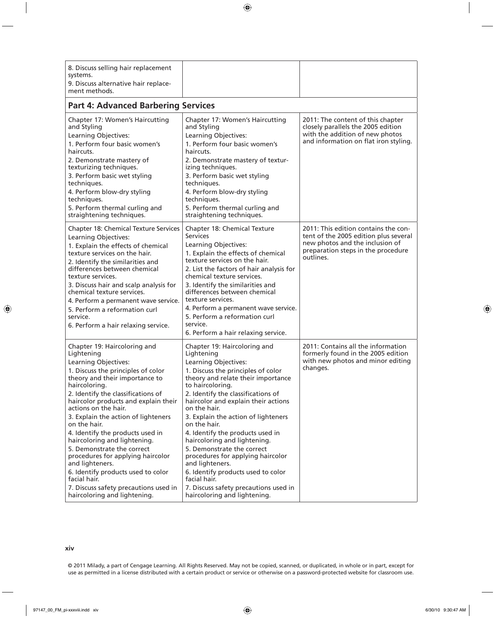| 8. Discuss selling hair replacement<br>systems.<br>9. Discuss alternative hair replace-<br>ment methods.                                                                                                                                                                                                                                                                                                                                                                                                                                                                                                          |                                                                                                                                                                                                                                                                                                                                                                                                                                                                                                                                                                                                                 |                                                                                                                                                                     |
|-------------------------------------------------------------------------------------------------------------------------------------------------------------------------------------------------------------------------------------------------------------------------------------------------------------------------------------------------------------------------------------------------------------------------------------------------------------------------------------------------------------------------------------------------------------------------------------------------------------------|-----------------------------------------------------------------------------------------------------------------------------------------------------------------------------------------------------------------------------------------------------------------------------------------------------------------------------------------------------------------------------------------------------------------------------------------------------------------------------------------------------------------------------------------------------------------------------------------------------------------|---------------------------------------------------------------------------------------------------------------------------------------------------------------------|
| <b>Part 4: Advanced Barbering Services</b>                                                                                                                                                                                                                                                                                                                                                                                                                                                                                                                                                                        |                                                                                                                                                                                                                                                                                                                                                                                                                                                                                                                                                                                                                 |                                                                                                                                                                     |
| Chapter 17: Women's Haircutting<br>and Styling<br>Learning Objectives:<br>1. Perform four basic women's<br>haircuts.<br>2. Demonstrate mastery of<br>texturizing techniques.<br>3. Perform basic wet styling<br>techniques.<br>4. Perform blow-dry styling<br>techniques.<br>5. Perform thermal curling and<br>straightening techniques.                                                                                                                                                                                                                                                                          | Chapter 17: Women's Haircutting<br>and Styling<br>Learning Objectives:<br>1. Perform four basic women's<br>haircuts.<br>2. Demonstrate mastery of textur-<br>izing techniques.<br>3. Perform basic wet styling<br>techniques.<br>4. Perform blow-dry styling<br>techniques.<br>5. Perform thermal curling and<br>straightening techniques.                                                                                                                                                                                                                                                                      | 2011: The content of this chapter<br>closely parallels the 2005 edition<br>with the addition of new photos<br>and information on flat iron styling.                 |
| Chapter 18: Chemical Texture Services<br>Learning Objectives:<br>1. Explain the effects of chemical<br>texture services on the hair.<br>2. Identify the similarities and<br>differences between chemical<br>texture services.<br>3. Discuss hair and scalp analysis for<br>chemical texture services.<br>4. Perform a permanent wave service.<br>5. Perform a reformation curl<br>service.<br>6. Perform a hair relaxing service.                                                                                                                                                                                 | Chapter 18: Chemical Texture<br><b>Services</b><br>Learning Objectives:<br>1. Explain the effects of chemical<br>texture services on the hair.<br>2. List the factors of hair analysis for<br>chemical texture services.<br>3. Identify the similarities and<br>differences between chemical<br>texture services.<br>4. Perform a permanent wave service.<br>5. Perform a reformation curl<br>service.<br>6. Perform a hair relaxing service.                                                                                                                                                                   | 2011: This edition contains the con-<br>tent of the 2005 edition plus several<br>new photos and the inclusion of<br>preparation steps in the procedure<br>outlines. |
| Chapter 19: Haircoloring and<br>Lightening<br>Learning Objectives:<br>1. Discuss the principles of color<br>theory and their importance to<br>haircoloring.<br>2. Identify the classifications of<br>haircolor products and explain their<br>actions on the hair.<br>3. Explain the action of lighteners<br>on the hair.<br>4. Identify the products used in<br>haircoloring and lightening.<br>5. Demonstrate the correct<br>procedures for applying haircolor<br>and lighteners.<br>6. Identify products used to color<br>facial hair.<br>7. Discuss safety precautions used in<br>haircoloring and lightening. | Chapter 19: Haircoloring and<br>Lightening<br>Learning Objectives:<br>1. Discuss the principles of color<br>theory and relate their importance<br>to haircoloring.<br>2. Identify the classifications of<br>haircolor and explain their actions<br>on the hair.<br>3. Explain the action of lighteners<br>on the hair.<br>4. Identify the products used in<br>haircoloring and lightening.<br>5. Demonstrate the correct<br>procedures for applying haircolor<br>and lighteners.<br>6. Identify products used to color<br>facial hair.<br>7. Discuss safety precautions used in<br>haircoloring and lightening. | 2011: Contains all the information<br>formerly found in the 2005 edition<br>with new photos and minor editing<br>changes.                                           |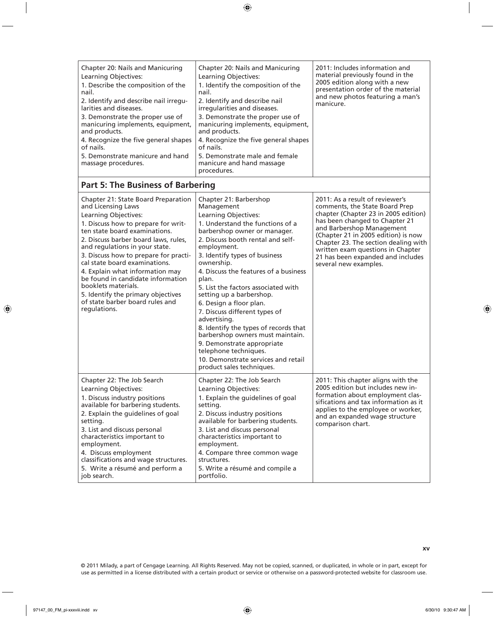| Chapter 20: Nails and Manicuring<br>Learning Objectives:<br>1. Describe the composition of the<br>nail.<br>2. Identify and describe nail irregu-<br>larities and diseases. | Chapter 20: Nails and Manicuring<br>Learning Objectives:<br>1. Identify the composition of the<br>nail.<br>2. Identify and describe nail<br>irregularities and diseases. | 2011: Includes information and<br>material previously found in the<br>2005 edition along with a new<br>presentation order of the material<br>and new photos featuring a man's<br>manicure. |
|----------------------------------------------------------------------------------------------------------------------------------------------------------------------------|--------------------------------------------------------------------------------------------------------------------------------------------------------------------------|--------------------------------------------------------------------------------------------------------------------------------------------------------------------------------------------|
| 3. Demonstrate the proper use of<br>manicuring implements, equipment,<br>and products.                                                                                     | 3. Demonstrate the proper use of<br>manicuring implements, equipment,<br>and products.                                                                                   |                                                                                                                                                                                            |
| 4. Recognize the five general shapes<br>of nails.                                                                                                                          | 4. Recognize the five general shapes<br>of nails.                                                                                                                        |                                                                                                                                                                                            |
| 5. Demonstrate manicure and hand<br>massage procedures.                                                                                                                    | 5. Demonstrate male and female<br>manicure and hand massage<br>procedures.                                                                                               |                                                                                                                                                                                            |

## **Part 5: The Business of Barbering**

| Chapter 21: State Board Preparation<br>and Licensing Laws<br>Learning Objectives:<br>1. Discuss how to prepare for writ-<br>ten state board examinations.<br>2. Discuss barber board laws, rules,<br>and regulations in your state.<br>3. Discuss how to prepare for practi-<br>cal state board examinations.<br>4. Explain what information may<br>be found in candidate information<br>booklets materials.<br>5. Identify the primary objectives<br>of state barber board rules and<br>regulations. | Chapter 21: Barbershop<br>Management<br>Learning Objectives:<br>1. Understand the functions of a<br>barbershop owner or manager.<br>2. Discuss booth rental and self-<br>employment.<br>3. Identify types of business<br>ownership.<br>4. Discuss the features of a business<br>plan.<br>5. List the factors associated with<br>setting up a barbershop.<br>6. Design a floor plan.<br>7. Discuss different types of<br>advertising.<br>8. Identify the types of records that<br>barbershop owners must maintain.<br>9. Demonstrate appropriate<br>telephone techniques.<br>10. Demonstrate services and retail<br>product sales techniques. | 2011: As a result of reviewer's<br>comments, the State Board Prep<br>chapter (Chapter 23 in 2005 edition)<br>has been changed to Chapter 21<br>and Barbershop Management<br>(Chapter 21 in 2005 edition) is now<br>Chapter 23. The section dealing with<br>written exam questions in Chapter<br>21 has been expanded and includes<br>several new examples. |
|-------------------------------------------------------------------------------------------------------------------------------------------------------------------------------------------------------------------------------------------------------------------------------------------------------------------------------------------------------------------------------------------------------------------------------------------------------------------------------------------------------|----------------------------------------------------------------------------------------------------------------------------------------------------------------------------------------------------------------------------------------------------------------------------------------------------------------------------------------------------------------------------------------------------------------------------------------------------------------------------------------------------------------------------------------------------------------------------------------------------------------------------------------------|------------------------------------------------------------------------------------------------------------------------------------------------------------------------------------------------------------------------------------------------------------------------------------------------------------------------------------------------------------|
| Chapter 22: The Job Search<br>Learning Objectives:<br>1. Discuss industry positions<br>available for barbering students.<br>2. Explain the guidelines of goal<br>setting.<br>3. List and discuss personal<br>characteristics important to<br>employment.<br>4. Discuss employment<br>classifications and wage structures.<br>5. Write a résumé and perform a<br>job search.                                                                                                                           | Chapter 22: The Job Search<br>Learning Objectives:<br>1. Explain the guidelines of goal<br>setting.<br>2. Discuss industry positions<br>available for barbering students.<br>3. List and discuss personal<br>characteristics important to<br>employment.<br>4. Compare three common wage<br>structures.<br>5. Write a résumé and compile a<br>portfolio.                                                                                                                                                                                                                                                                                     | 2011: This chapter aligns with the<br>2005 edition but includes new in-<br>formation about employment clas-<br>sifications and tax information as it<br>applies to the employee or worker,<br>and an expanded wage structure<br>comparison chart.                                                                                                          |